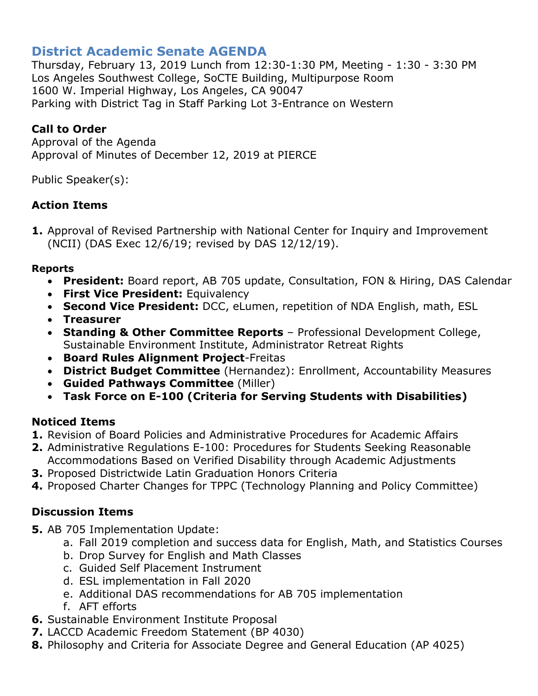# **District Academic Senate AGENDA**

Thursday, February 13, 2019 Lunch from 12:30-1:30 PM, Meeting - 1:30 - 3:30 PM Los Angeles Southwest College, SoCTE Building, Multipurpose Room 1600 W. Imperial Highway, Los Angeles, CA 90047 Parking with District Tag in Staff Parking Lot 3-Entrance on Western

## **Call to Order**

Approval of the Agenda Approval of Minutes of December 12, 2019 at PIERCE

Public Speaker(s):

# **Action Items**

**1.** Approval of Revised Partnership with National Center for Inquiry and Improvement (NCII) (DAS Exec 12/6/19; revised by DAS 12/12/19).

#### **Reports**

- **President:** Board report, AB 705 update, Consultation, FON & Hiring, DAS Calendar
- **First Vice President:** Equivalency
- **Second Vice President:** DCC, eLumen, repetition of NDA English, math, ESL
- **Treasurer**
- **Standing & Other Committee Reports** Professional Development College, Sustainable Environment Institute, Administrator Retreat Rights
- **Board Rules Alignment Project**-Freitas
- **District Budget Committee** (Hernandez): Enrollment, Accountability Measures
- **Guided Pathways Committee** (Miller)
- **Task Force on E-100 (Criteria for Serving Students with Disabilities)**

## **Noticed Items**

- **1.** Revision of Board Policies and Administrative Procedures for Academic Affairs
- **2.** Administrative Regulations E-100: Procedures for Students Seeking Reasonable
	- Accommodations Based on Verified Disability through Academic Adjustments
- **3.** Proposed Districtwide Latin Graduation Honors Criteria
- **4.** Proposed Charter Changes for TPPC (Technology Planning and Policy Committee)

## **Discussion Items**

- **5.** AB 705 Implementation Update:
	- a. Fall 2019 completion and success data for English, Math, and Statistics Courses
	- b. Drop Survey for English and Math Classes
	- c. Guided Self Placement Instrument
	- d. ESL implementation in Fall 2020
	- e. Additional DAS recommendations for AB 705 implementation
	- f. AFT efforts
- **6.** Sustainable Environment Institute Proposal
- **7.** LACCD Academic Freedom Statement (BP 4030)
- **8.** Philosophy and Criteria for Associate Degree and General Education (AP 4025)